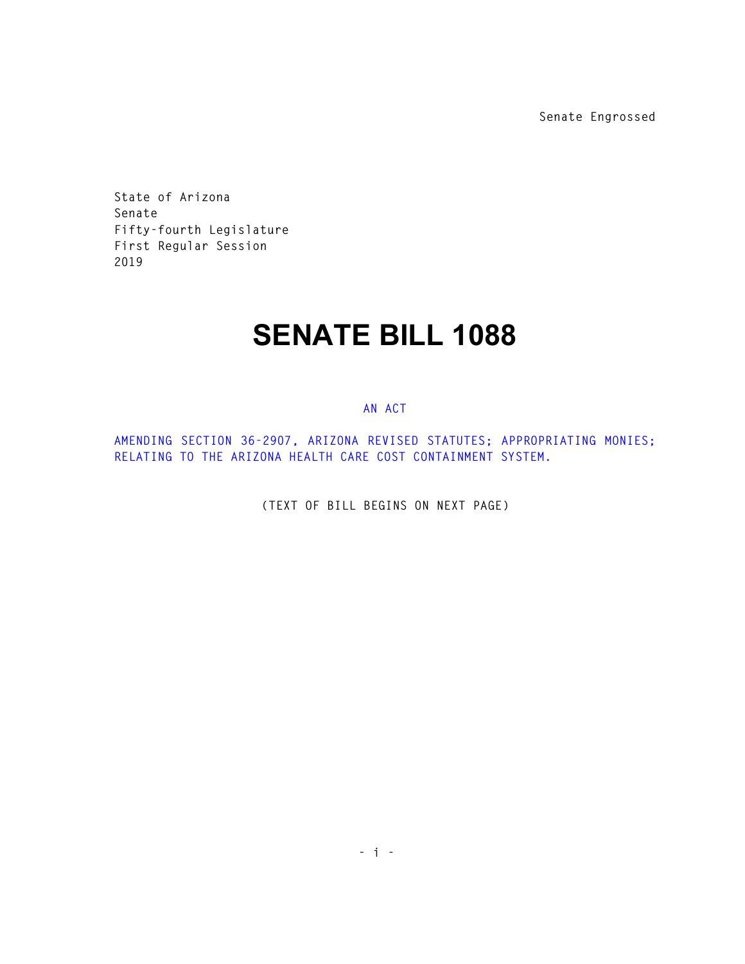**Senate Engrossed** 

**State of Arizona Senate Fifty-fourth Legislature First Regular Session 2019** 

## **SENATE BILL 1088**

## **AN ACT**

**AMENDING SECTION 36-2907, ARIZONA REVISED STATUTES; APPROPRIATING MONIES; RELATING TO THE ARIZONA HEALTH CARE COST CONTAINMENT SYSTEM.** 

**(TEXT OF BILL BEGINS ON NEXT PAGE)**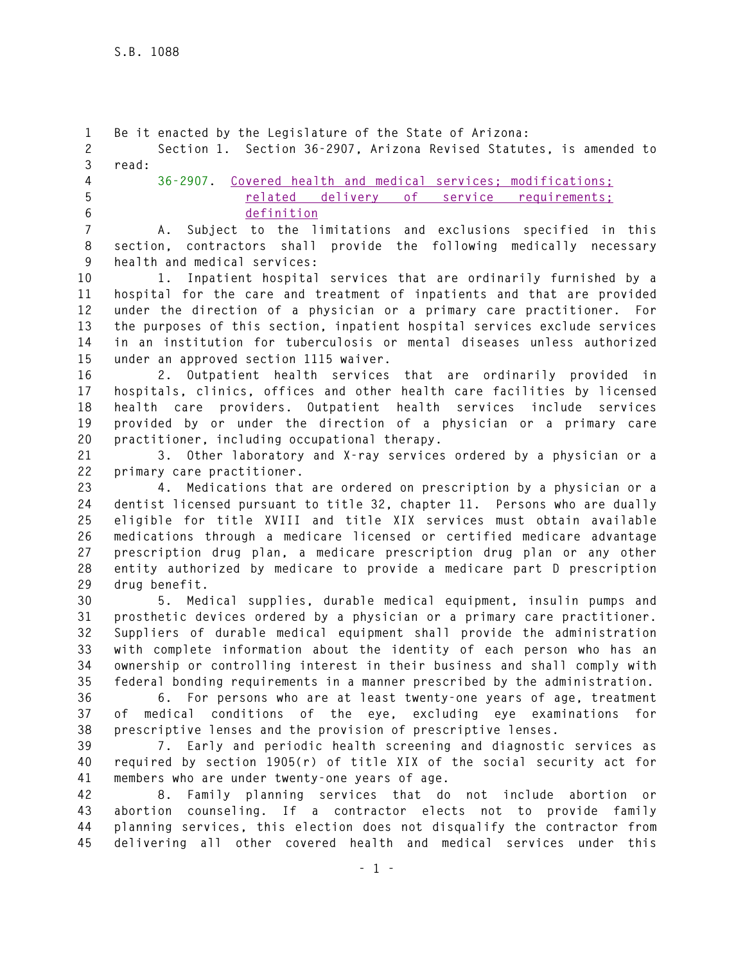**1 Be it enacted by the Legislature of the State of Arizona: 2 Section 1. Section 36-2907, Arizona Revised Statutes, is amended to 3 read: 4 36-2907. Covered health and medical services; modifications; 5 related delivery of service requirements; 6 definition 7 A. Subject to the limitations and exclusions specified in this 8 section, contractors shall provide the following medically necessary 9 health and medical services: 10 1. Inpatient hospital services that are ordinarily furnished by a 11 hospital for the care and treatment of inpatients and that are provided 12 under the direction of a physician or a primary care practitioner. For 13 the purposes of this section, inpatient hospital services exclude services 14 in an institution for tuberculosis or mental diseases unless authorized 15 under an approved section 1115 waiver. 16 2. Outpatient health services that are ordinarily provided in 17 hospitals, clinics, offices and other health care facilities by licensed 18 health care providers. Outpatient health services include services 19 provided by or under the direction of a physician or a primary care 20 practitioner, including occupational therapy. 21 3. Other laboratory and X-ray services ordered by a physician or a 22 primary care practitioner. 23 4. Medications that are ordered on prescription by a physician or a 24 dentist licensed pursuant to title 32, chapter 11. Persons who are dually 25 eligible for title XVIII and title XIX services must obtain available 26 medications through a medicare licensed or certified medicare advantage 27 prescription drug plan, a medicare prescription drug plan or any other 28 entity authorized by medicare to provide a medicare part D prescription 29 drug benefit. 30 5. Medical supplies, durable medical equipment, insulin pumps and 31 prosthetic devices ordered by a physician or a primary care practitioner. 32 Suppliers of durable medical equipment shall provide the administration 33 with complete information about the identity of each person who has an 34 ownership or controlling interest in their business and shall comply with 35 federal bonding requirements in a manner prescribed by the administration. 36 6. For persons who are at least twenty-one years of age, treatment 37 of medical conditions of the eye, excluding eye examinations for 38 prescriptive lenses and the provision of prescriptive lenses. 39 7. Early and periodic health screening and diagnostic services as 40 required by section 1905(r) of title XIX of the social security act for 41 members who are under twenty-one years of age. 42 8. Family planning services that do not include abortion or 43 abortion counseling. If a contractor elects not to provide family 44 planning services, this election does not disqualify the contractor from 45 delivering all other covered health and medical services under this**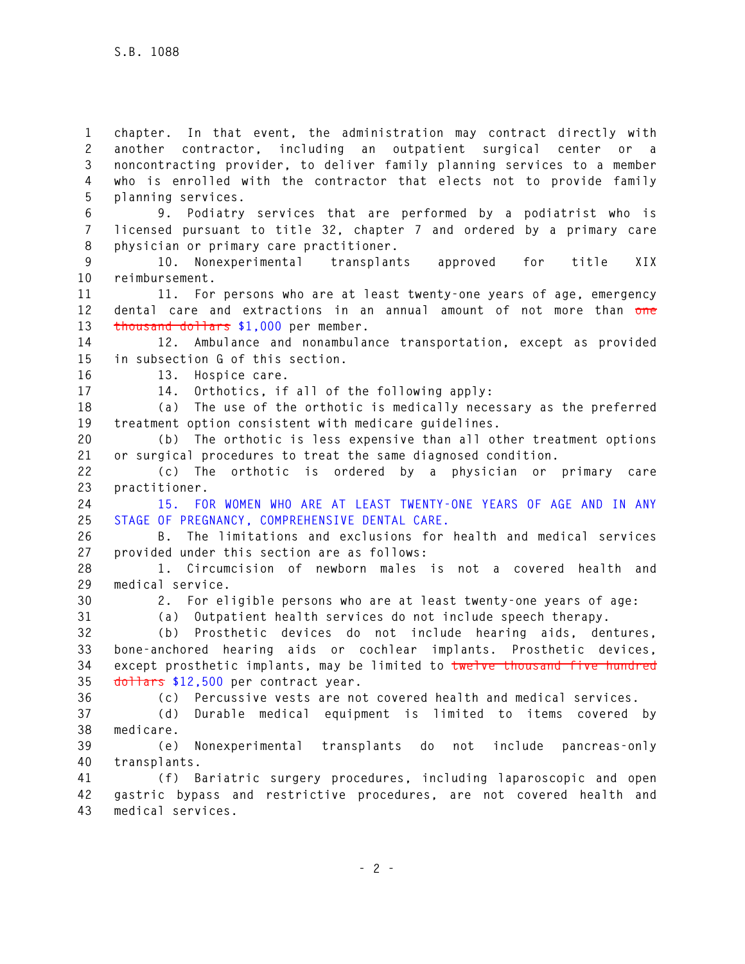**1 chapter. In that event, the administration may contract directly with 2 another contractor, including an outpatient surgical center or a 3 noncontracting provider, to deliver family planning services to a member 4 who is enrolled with the contractor that elects not to provide family 5 planning services.** 

**6 9. Podiatry services that are performed by a podiatrist who is 7 licensed pursuant to title 32, chapter 7 and ordered by a primary care 8 physician or primary care practitioner.** 

**9 10. Nonexperimental transplants approved for title XIX 10 reimbursement.** 

**11 11. For persons who are at least twenty-one years of age, emergency 12 dental care and extractions in an annual amount of not more than one 13 thousand dollars \$1,000 per member.** 

**14 12. Ambulance and nonambulance transportation, except as provided 15 in subsection G of this section.** 

**16 13. Hospice care.** 

**17 14. Orthotics, if all of the following apply:** 

**18 (a) The use of the orthotic is medically necessary as the preferred 19 treatment option consistent with medicare guidelines.** 

**20 (b) The orthotic is less expensive than all other treatment options 21 or surgical procedures to treat the same diagnosed condition.** 

**22 (c) The orthotic is ordered by a physician or primary care 23 practitioner.** 

**24 15. FOR WOMEN WHO ARE AT LEAST TWENTY-ONE YEARS OF AGE AND IN ANY 25 STAGE OF PREGNANCY, COMPREHENSIVE DENTAL CARE.** 

**26 B. The limitations and exclusions for health and medical services 27 provided under this section are as follows:** 

**28 1. Circumcision of newborn males is not a covered health and 29 medical service.** 

**30 2. For eligible persons who are at least twenty-one years of age:** 

**31 (a) Outpatient health services do not include speech therapy.** 

**32 (b) Prosthetic devices do not include hearing aids, dentures, 33 bone-anchored hearing aids or cochlear implants. Prosthetic devices, 34 except prosthetic implants, may be limited to twelve thousand five hundred 35 dollars \$12,500 per contract year.** 

**36 (c) Percussive vests are not covered health and medical services.** 

**37 (d) Durable medical equipment is limited to items covered by 38 medicare.** 

**39 (e) Nonexperimental transplants do not include pancreas-only 40 transplants.** 

**41 (f) Bariatric surgery procedures, including laparoscopic and open 42 gastric bypass and restrictive procedures, are not covered health and 43 medical services.**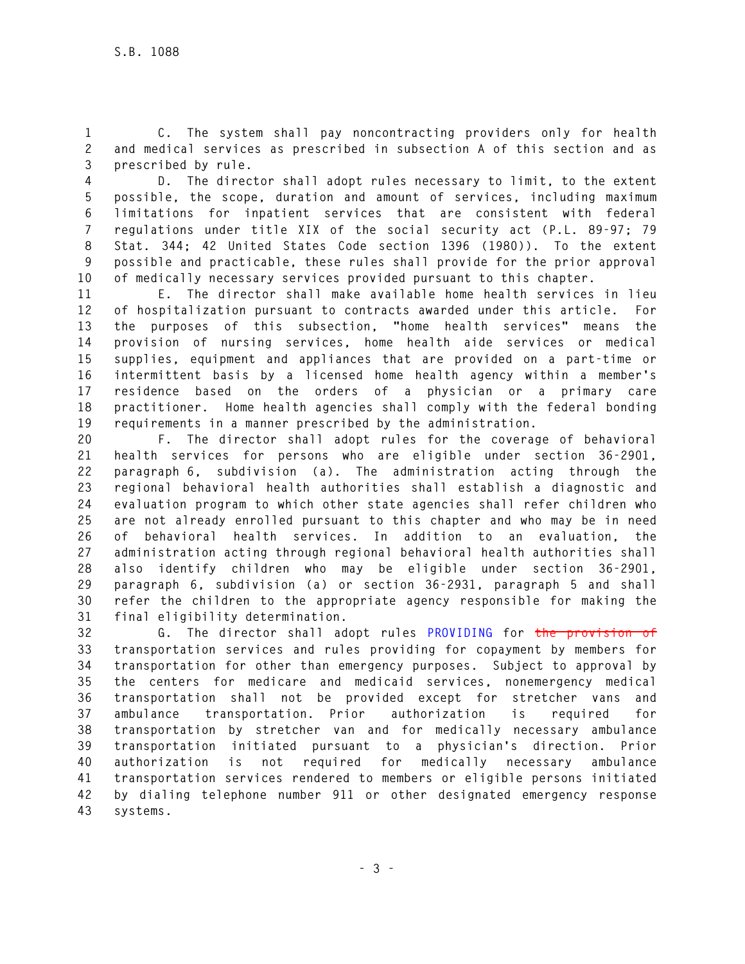**1 C. The system shall pay noncontracting providers only for health 2 and medical services as prescribed in subsection A of this section and as 3 prescribed by rule.** 

**4 D. The director shall adopt rules necessary to limit, to the extent 5 possible, the scope, duration and amount of services, including maximum 6 limitations for inpatient services that are consistent with federal 7 regulations under title XIX of the social security act (P.L. 89-97; 79 8 Stat. 344; 42 United States Code section 1396 (1980)). To the extent 9 possible and practicable, these rules shall provide for the prior approval 10 of medically necessary services provided pursuant to this chapter.** 

**11 E. The director shall make available home health services in lieu 12 of hospitalization pursuant to contracts awarded under this article. For 13 the purposes of this subsection, "home health services" means the 14 provision of nursing services, home health aide services or medical 15 supplies, equipment and appliances that are provided on a part-time or 16 intermittent basis by a licensed home health agency within a member's 17 residence based on the orders of a physician or a primary care 18 practitioner. Home health agencies shall comply with the federal bonding 19 requirements in a manner prescribed by the administration.** 

**20 F. The director shall adopt rules for the coverage of behavioral 21 health services for persons who are eligible under section 36-2901, 22 paragraph 6, subdivision (a). The administration acting through the 23 regional behavioral health authorities shall establish a diagnostic and 24 evaluation program to which other state agencies shall refer children who 25 are not already enrolled pursuant to this chapter and who may be in need 26 of behavioral health services. In addition to an evaluation, the 27 administration acting through regional behavioral health authorities shall 28 also identify children who may be eligible under section 36-2901, 29 paragraph 6, subdivision (a) or section 36-2931, paragraph 5 and shall 30 refer the children to the appropriate agency responsible for making the 31 final eligibility determination.** 

**32 G. The director shall adopt rules PROVIDING for the provision of 33 transportation services and rules providing for copayment by members for 34 transportation for other than emergency purposes. Subject to approval by 35 the centers for medicare and medicaid services, nonemergency medical 36 transportation shall not be provided except for stretcher vans and 37 ambulance transportation. Prior authorization is required for 38 transportation by stretcher van and for medically necessary ambulance 39 transportation initiated pursuant to a physician's direction. Prior 40 authorization is not required for medically necessary ambulance 41 transportation services rendered to members or eligible persons initiated 42 by dialing telephone number 911 or other designated emergency response 43 systems.**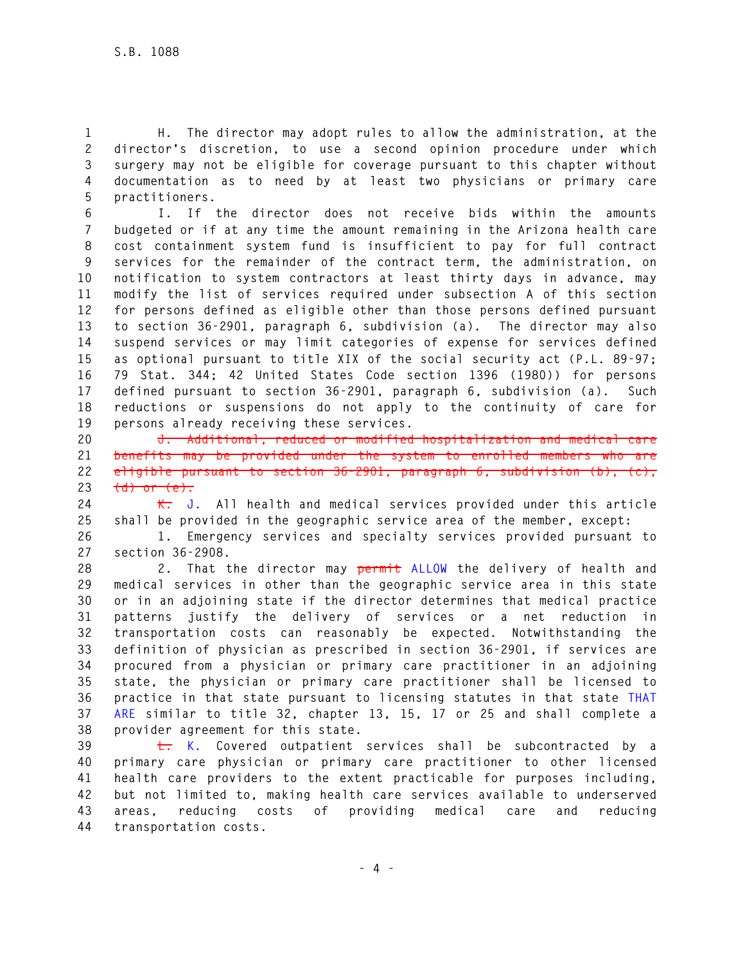**1 H. The director may adopt rules to allow the administration, at the 2 director's discretion, to use a second opinion procedure under which 3 surgery may not be eligible for coverage pursuant to this chapter without 4 documentation as to need by at least two physicians or primary care 5 practitioners.** 

**6 I. If the director does not receive bids within the amounts 7 budgeted or if at any time the amount remaining in the Arizona health care 8 cost containment system fund is insufficient to pay for full contract 9 services for the remainder of the contract term, the administration, on 10 notification to system contractors at least thirty days in advance, may 11 modify the list of services required under subsection A of this section 12 for persons defined as eligible other than those persons defined pursuant 13 to section 36-2901, paragraph 6, subdivision (a). The director may also 14 suspend services or may limit categories of expense for services defined 15 as optional pursuant to title XIX of the social security act (P.L. 89-97; 16 79 Stat. 344; 42 United States Code section 1396 (1980)) for persons 17 defined pursuant to section 36-2901, paragraph 6, subdivision (a). Such 18 reductions or suspensions do not apply to the continuity of care for 19 persons already receiving these services.** 

**20 J. Additional, reduced or modified hospitalization and medical care 21 benefits may be provided under the system to enrolled members who are 22 eligible pursuant to section 36-2901, paragraph 6, subdivision (b), (c), 23 (d) or (e).** 

**24 K. J. All health and medical services provided under this article 25 shall be provided in the geographic service area of the member, except:** 

**26 1. Emergency services and specialty services provided pursuant to 27 section 36-2908.** 

**28 2. That the director may permit ALLOW the delivery of health and 29 medical services in other than the geographic service area in this state 30 or in an adjoining state if the director determines that medical practice 31 patterns justify the delivery of services or a net reduction in 32 transportation costs can reasonably be expected. Notwithstanding the 33 definition of physician as prescribed in section 36-2901, if services are 34 procured from a physician or primary care practitioner in an adjoining 35 state, the physician or primary care practitioner shall be licensed to 36 practice in that state pursuant to licensing statutes in that state THAT 37 ARE similar to title 32, chapter 13, 15, 17 or 25 and shall complete a 38 provider agreement for this state.** 

**39 L. K. Covered outpatient services shall be subcontracted by a 40 primary care physician or primary care practitioner to other licensed 41 health care providers to the extent practicable for purposes including, 42 but not limited to, making health care services available to underserved 43 areas, reducing costs of providing medical care and reducing 44 transportation costs.**